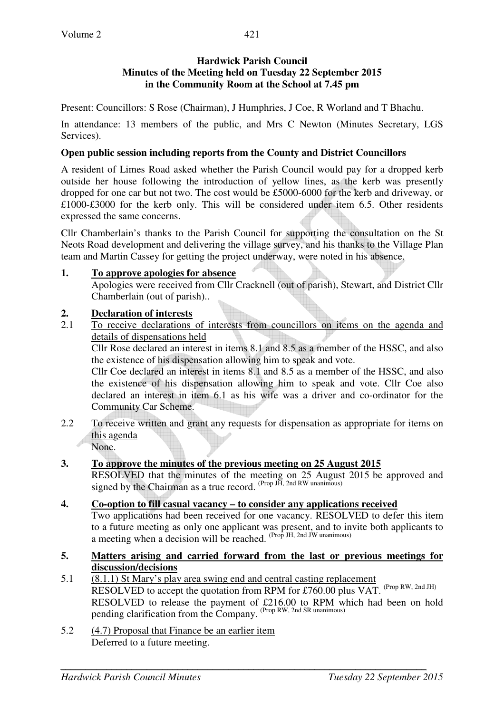Present: Councillors: S Rose (Chairman), J Humphries, J Coe, R Worland and T Bhachu.

In attendance: 13 members of the public, and Mrs C Newton (Minutes Secretary, LGS Services).

## **Open public session including reports from the County and District Councillors**

A resident of Limes Road asked whether the Parish Council would pay for a dropped kerb outside her house following the introduction of yellow lines, as the kerb was presently dropped for one car but not two. The cost would be £5000-6000 for the kerb and driveway, or £1000-£3000 for the kerb only. This will be considered under item 6.5. Other residents expressed the same concerns.

Cllr Chamberlain's thanks to the Parish Council for supporting the consultation on the St Neots Road development and delivering the village survey, and his thanks to the Village Plan team and Martin Cassey for getting the project underway, were noted in his absence.

## **1. To approve apologies for absence**

Apologies were received from Cllr Cracknell (out of parish), Stewart, and District Cllr Chamberlain (out of parish)..

## **2. Declaration of interests**

2.1 To receive declarations of interests from councillors on items on the agenda and details of dispensations held

Cllr Rose declared an interest in items 8.1 and 8.5 as a member of the HSSC, and also the existence of his dispensation allowing him to speak and vote.

Cllr Coe declared an interest in items 8.1 and 8.5 as a member of the HSSC, and also the existence of his dispensation allowing him to speak and vote. Cllr Coe also declared an interest in item 6.1 as his wife was a driver and co-ordinator for the Community Car Scheme.

2.2 To receive written and grant any requests for dispensation as appropriate for items on this agenda None.

**3. To approve the minutes of the previous meeting on 25 August 2015** 

RESOLVED that the minutes of the meeting on 25 August 2015 be approved and signed by the Chairman as a true record.  $(Prop\ H, 2nd\ RW\ unanimous)$ 

# **4. Co-option to fill casual vacancy – to consider any applications received**

Two applications had been received for one vacancy. RESOLVED to defer this item to a future meeting as only one applicant was present, and to invite both applicants to a meeting when a decision will be reached. (Prop JH, 2nd JW unanimous)

- **5. Matters arising and carried forward from the last or previous meetings for discussion/decisions**
- 5.1 (8.1.1) St Mary's play area swing end and central casting replacement RESOLVED to accept the quotation from RPM for £760.00 plus VAT. (Prop RW, 2nd JH) RESOLVED to release the payment of £216.00 to RPM which had been on hold pending clarification from the Company. (Prop RW, 2nd SR unanimous)
- 5.2 (4.7) Proposal that Finance be an earlier item Deferred to a future meeting.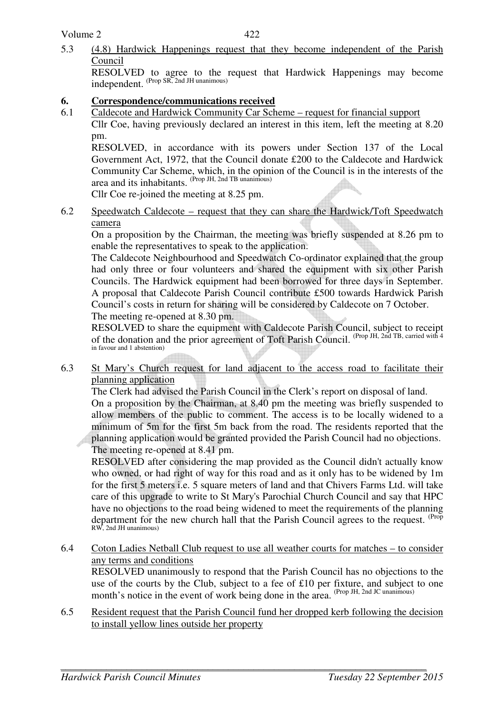5.3 (4.8) Hardwick Happenings request that they become independent of the Parish Council

RESOLVED to agree to the request that Hardwick Happenings may become independent. (Prop SR, 2nd JH unanimous)

#### **6. Correspondence/communications received**

6.1 Caldecote and Hardwick Community Car Scheme – request for financial support

 Cllr Coe, having previously declared an interest in this item, left the meeting at 8.20 pm.

RESOLVED, in accordance with its powers under Section 137 of the Local Government Act, 1972, that the Council donate £200 to the Caldecote and Hardwick Community Car Scheme, which, in the opinion of the Council is in the interests of the area and its inhabitants. (Prop JH, 2nd TB unanimous)

Cllr Coe re-joined the meeting at 8.25 pm.

6.2 Speedwatch Caldecote – request that they can share the Hardwick/Toft Speedwatch camera

 On a proposition by the Chairman, the meeting was briefly suspended at 8.26 pm to enable the representatives to speak to the application.

 The Caldecote Neighbourhood and Speedwatch Co-ordinator explained that the group had only three or four volunteers and shared the equipment with six other Parish Councils. The Hardwick equipment had been borrowed for three days in September. A proposal that Caldecote Parish Council contribute £500 towards Hardwick Parish Council's costs in return for sharing will be considered by Caldecote on 7 October. The meeting re-opened at 8.30 pm.

RESOLVED to share the equipment with Caldecote Parish Council, subject to receipt of the donation and the prior agreement of Toft Parish Council. (Prop JH, 2nd TB, carried with 4 in favour and 1 abstention)

6.3 St Mary's Church request for land adjacent to the access road to facilitate their planning application

The Clerk had advised the Parish Council in the Clerk's report on disposal of land. On a proposition by the Chairman, at 8.40 pm the meeting was briefly suspended to allow members of the public to comment. The access is to be locally widened to a minimum of 5m for the first 5m back from the road. The residents reported that the planning application would be granted provided the Parish Council had no objections. The meeting re-opened at 8.41 pm.

RESOLVED after considering the map provided as the Council didn't actually know who owned, or had right of way for this road and as it only has to be widened by 1m for the first 5 meters i.e. 5 square meters of land and that Chivers Farms Ltd. will take care of this upgrade to write to St Mary's Parochial Church Council and say that HPC have no objections to the road being widened to meet the requirements of the planning department for the new church hall that the Parish Council agrees to the request. <sup>(Prop</sup> RW, 2nd JH unanimous)

6.4 Coton Ladies Netball Club request to use all weather courts for matches – to consider any terms and conditions

 RESOLVED unanimously to respond that the Parish Council has no objections to the use of the courts by the Club, subject to a fee of £10 per fixture, and subject to one month's notice in the event of work being done in the area. (Prop JH, 2nd JC unanimous)

6.5 Resident request that the Parish Council fund her dropped kerb following the decision to install yellow lines outside her property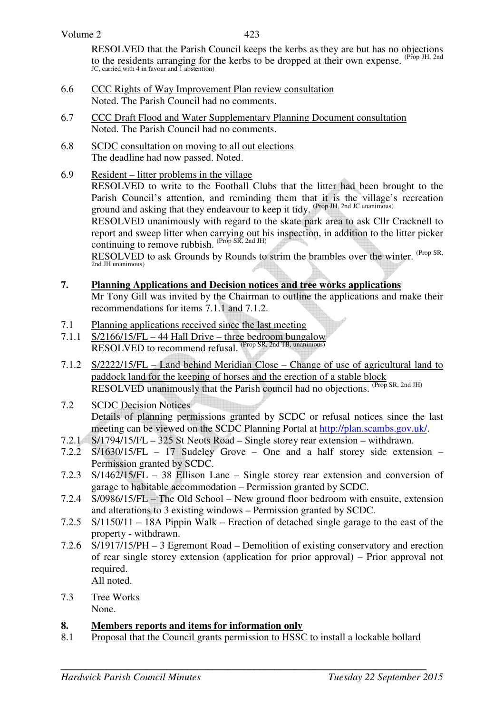RESOLVED that the Parish Council keeps the kerbs as they are but has no objections to the residents arranging for the kerbs to be dropped at their own expense. <sup>(Prop JH, 2nd</sup> JC, carried with 4 in favour and 1 abstention)

- 6.6 CCC Rights of Way Improvement Plan review consultation Noted. The Parish Council had no comments.
- 6.7 CCC Draft Flood and Water Supplementary Planning Document consultation Noted. The Parish Council had no comments.
- 6.8 SCDC consultation on moving to all out elections The deadline had now passed. Noted.
- 6.9 Resident litter problems in the village

RESOLVED to write to the Football Clubs that the litter had been brought to the Parish Council's attention, and reminding them that it is the village's recreation ground and asking that they endeavour to keep it tidy. (Prop JH, 2nd JC unanimous)

RESOLVED unanimously with regard to the skate park area to ask Cllr Cracknell to report and sweep litter when carrying out his inspection, in addition to the litter picker continuing to remove rubbish.  $^{(Prop SR, 2nd JH)}$ 

RESOLVED to ask Grounds by Rounds to strim the brambles over the winter. <sup>(Prop SR,</sup> 2nd JH unanimous)

### **7. Planning Applications and Decision notices and tree works applications**

Mr Tony Gill was invited by the Chairman to outline the applications and make their recommendations for items 7.1.1 and 7.1.2.

- 7.1 Planning applications received since the last meeting
- 7.1.1 S/2166/15/FL 44 Hall Drive three bedroom bungalow RESOLVED to recommend refusal. (Prop SR, 2nd TB, unanimous)
- 7.1.2 S/2222/15/FL Land behind Meridian Close Change of use of agricultural land to paddock land for the keeping of horses and the erection of a stable block RESOLVED unanimously that the Parish council had no objections. (Prop SR, 2nd JH)

#### 7.2 SCDC Decision Notices Details of planning permissions granted by SCDC or refusal notices since the last meeting can be viewed on the SCDC Planning Portal at http://plan.scambs.gov.uk/.

- 7.2.1 S/1794/15/FL 325 St Neots Road Single storey rear extension withdrawn.
- 7.2.2 S/1630/15/FL 17 Sudeley Grove One and a half storey side extension Permission granted by SCDC.
- 7.2.3 S/1462/15/FL 38 Ellison Lane Single storey rear extension and conversion of garage to habitable accommodation – Permission granted by SCDC.
- 7.2.4 S/0986/15/FL The Old School New ground floor bedroom with ensuite, extension and alterations to 3 existing windows – Permission granted by SCDC.
- 7.2.5 S/1150/11 18A Pippin Walk Erection of detached single garage to the east of the property - withdrawn.
- 7.2.6 S/1917/15/PH 3 Egremont Road Demolition of existing conservatory and erection of rear single storey extension (application for prior approval) – Prior approval not required. All noted.
- 7.3 Tree Works None.

### **8. Members reports and items for information only**

8.1 Proposal that the Council grants permission to HSSC to install a lockable bollard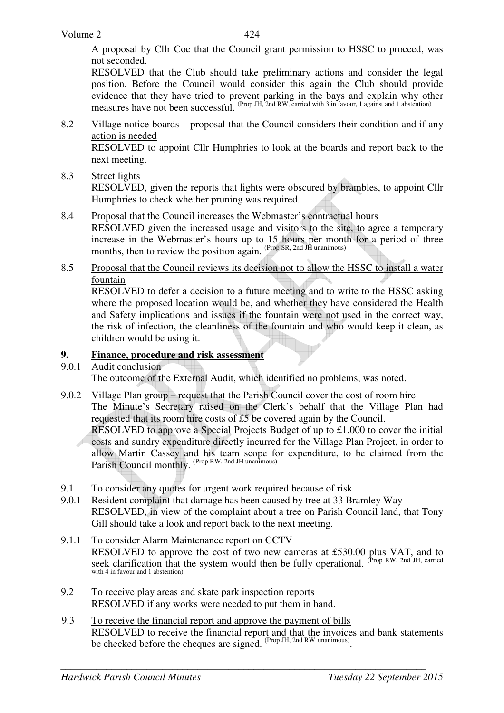A proposal by Cllr Coe that the Council grant permission to HSSC to proceed, was not seconded.

RESOLVED that the Club should take preliminary actions and consider the legal position. Before the Council would consider this again the Club should provide evidence that they have tried to prevent parking in the bays and explain why other measures have not been successful. (Prop JH, 2nd RW, carried with 3 in favour, 1 against and 1 abstention)

8.2 Village notice boards – proposal that the Council considers their condition and if any action is needed

RESOLVED to appoint Cllr Humphries to look at the boards and report back to the next meeting.

8.3 Street lights

 RESOLVED, given the reports that lights were obscured by brambles, to appoint Cllr Humphries to check whether pruning was required.

- 8.4 Proposal that the Council increases the Webmaster's contractual hours RESOLVED given the increased usage and visitors to the site, to agree a temporary increase in the Webmaster's hours up to 15 hours per month for a period of three months, then to review the position again. (Prop SR, 2nd JH unanimous)
- 8.5 Proposal that the Council reviews its decision not to allow the HSSC to install a water fountain

 RESOLVED to defer a decision to a future meeting and to write to the HSSC asking where the proposed location would be, and whether they have considered the Health and Safety implications and issues if the fountain were not used in the correct way, the risk of infection, the cleanliness of the fountain and who would keep it clean, as children would be using it.

## **9. Finance, procedure and risk assessment**

9.0.1 Audit conclusion

The outcome of the External Audit, which identified no problems, was noted.

9.0.2 Village Plan group – request that the Parish Council cover the cost of room hire The Minute's Secretary raised on the Clerk's behalf that the Village Plan had requested that its room hire costs of £5 be covered again by the Council.

RESOLVED to approve a Special Projects Budget of up to £1,000 to cover the initial costs and sundry expenditure directly incurred for the Village Plan Project, in order to allow Martin Cassey and his team scope for expenditure, to be claimed from the Parish Council monthly. (Prop RW, 2nd JH unanimous)

- 9.1 To consider any quotes for urgent work required because of risk
- 9.0.1 Resident complaint that damage has been caused by tree at 33 Bramley Way RESOLVED, in view of the complaint about a tree on Parish Council land, that Tony Gill should take a look and report back to the next meeting.
- 9.1.1 To consider Alarm Maintenance report on CCTV RESOLVED to approve the cost of two new cameras at £530.00 plus VAT, and to seek clarification that the system would then be fully operational. (Prop RW, 2nd JH, carried with 4 in favour and 1 abstention)
- 9.2 To receive play areas and skate park inspection reports RESOLVED if any works were needed to put them in hand.
- 9.3 To receive the financial report and approve the payment of bills RESOLVED to receive the financial report and that the invoices and bank statements be checked before the cheques are signed. <sup>(Prop JH, 2nd RW unanimous)</sup>.